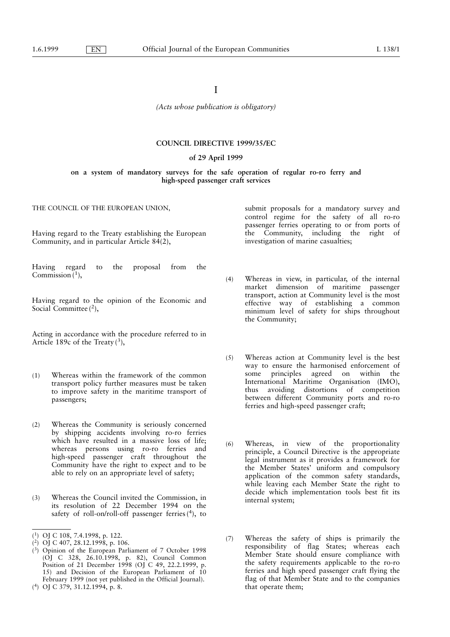(Acts whose publication is obligatory)

# **COUNCIL DIRECTIVE 1999/35/EC**

## of 29 April 1999

# on a system of mandatory surveys for the safe operation of regular ro-ro ferry and high-speed passenger craft services

THE COUNCIL OF THE EUROPEAN UNION,

Having regard to the Treaty establishing the European Community, and in particular Article 84(2),

Having regard to the proposal from the Commission $(1)$ ,

Having regard to the opinion of the Economic and Social Committee  $(2)$ ,

Acting in accordance with the procedure referred to in Article 189c of the Treaty  $(3)$ ,

- $(1)$ Whereas within the framework of the common transport policy further measures must be taken to improve safety in the maritime transport of passengers;
- $(2)$ Whereas the Community is seriously concerned by shipping accidents involving ro-ro ferries which have resulted in a massive loss of life; whereas persons using ro-ro ferries and high-speed passenger craft throughout the Community have the right to expect and to be able to rely on an appropriate level of safety;
- Whereas the Council invited the Commission, in  $(3)$ its resolution of 22 December 1994 on the safety of roll-on/roll-off passenger ferries $(4)$ , to

- $(3)$  Opinion of the European Parliament of 7 October 1998 (OJ C 328, 26.10.1998, p. 82), Council Common Position of 21 December 1998 (OJ C 49, 22.2.1999, p. 15) and Decision of the European Parliament of 10 February 1999 (not yet published in the Official Journal).
- $(4)$  OJ C 379, 31.12.1994, p. 8.

submit proposals for a mandatory survey and control regime for the safety of all ro-ro passenger ferries operating to or from ports of the Community, including the right of investigation of marine casualties;

- $(4)$ Whereas in view, in particular, of the internal market dimension of maritime passenger transport, action at Community level is the most effective way of establishing a common minimum level of safety for ships throughout the Community;
- Whereas action at Community level is the best  $(5)$ way to ensure the harmonised enforcement of some principles agreed on within the International Maritime Organisation (IMO), thus avoiding distortions of competition between different Community ports and ro-ro ferries and high-speed passenger craft;
- $(6)$ Whereas, in view of the proportionality principle, a Council Directive is the appropriate legal instrument as it provides a framework for the Member States' uniform and compulsory application of the common safety standards, while leaving each Member State the right to decide which implementation tools best fit its internal system;
- Whereas the safety of ships is primarily the  $(7)$ responsibility of flag States; whereas each Member State should ensure compliance with the safety requirements applicable to the ro-ro ferries and high speed passenger craft flying the flag of that Member State and to the companies that operate them;

<sup>(1)</sup> OJ C 108, 7.4.1998, p. 122.<br>(2) OJ C 407, 28.12.1998, p. 106.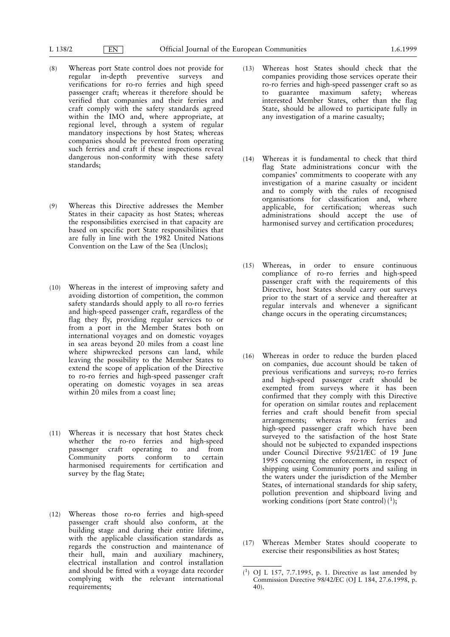- Whereas port State control does not provide for  $(8)$ regular in-depth preventive surveys and verifications for ro-ro ferries and high speed passenger craft; whereas it therefore should be verified that companies and their ferries and craft comply with the safety standards agreed within the IMO and, where appropriate, at regional level, through a system of regular mandatory inspections by host States; whereas companies should be prevented from operating such ferries and craft if these inspections reveal dangerous non-conformity with these safety standards:
- $(9)$ Whereas this Directive addresses the Member States in their capacity as host States; whereas the responsibilities exercised in that capacity are based on specific port State responsibilities that are fully in line with the 1982 United Nations Convention on the Law of the Sea (Unclos);
- (10) Whereas in the interest of improving safety and avoiding distortion of competition, the common safety standards should apply to all ro-ro ferries and high-speed passenger craft, regardless of the flag they fly, providing regular services to or from a port in the Member States both on international voyages and on domestic voyages in sea areas beyond 20 miles from a coast line where shipwrecked persons can land, while leaving the possibility to the Member States to extend the scope of application of the Directive to ro-ro ferries and high-speed passenger craft operating on domestic voyages in sea areas within 20 miles from a coast line;
- (11) Whereas it is necessary that host States check whether the ro-ro ferries and high-speed passenger craft operating to and from Community ports conform to certain harmonised requirements for certification and survey by the flag State;
- (12) Whereas those ro-ro ferries and high-speed passenger craft should also conform, at the building stage and during their entire lifetime, with the applicable classification standards as regards the construction and maintenance of their hull, main and auxiliary machinery, electrical installation and control installation and should be fitted with a voyage data recorder complying with the relevant international requirements;
- Whereas host States should check that the  $(13)$ companies providing those services operate their ro-ro ferries and high-speed passenger craft so as to guarantee maximum safety; whereas interested Member States, other than the flag State, should be allowed to participate fully in any investigation of a marine casualty;
- $(14)$ Whereas it is fundamental to check that third flag State administrations concur with the companies' commitments to cooperate with any investigation of a marine casualty or incident and to comply with the rules of recognised organisations for classification and, where applicable, for certification; whereas such administrations should accept the use of harmonised survey and certification procedures;
- Whereas, in order to ensure continuous  $(15)$ compliance of ro-ro ferries and high-speed passenger craft with the requirements of this Directive, host States should carry out surveys prior to the start of a service and thereafter at regular intervals and whenever a significant change occurs in the operating circumstances;
- $(16)$ Whereas in order to reduce the burden placed on companies, due account should be taken of previous verifications and surveys; ro-ro ferries and high-speed passenger craft should be exempted from surveys where it has been confirmed that they comply with this Directive for operation on similar routes and replacement ferries and craft should benefit from special arrangements; whereas ro-ro ferries and high-speed passenger craft which have been surveyed to the satisfaction of the host State should not be subjected to expanded inspections under Council Directive 95/21/EC of 19 June 1995 concerning the enforcement, in respect of shipping using Community ports and sailing in the waters under the jurisdiction of the Member States, of international standards for ship safety, pollution prevention and shipboard living and working conditions (port State control) $(1)$ ;
- (17) Whereas Member States should cooperate to exercise their responsibilities as host States;

 $(1)$  OJ L 157, 7.7.1995, p. 1. Directive as last amended by Commission Directive 98/42/EC (OJ L 184, 27.6.1998, p.  $40$ ).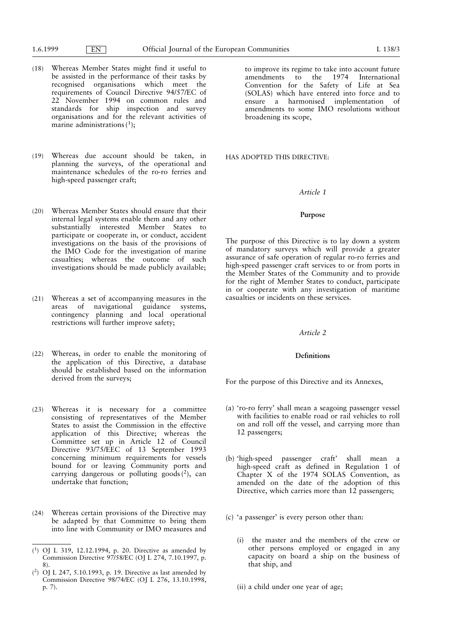- Whereas Member States might find it useful to  $(18)$ be assisted in the performance of their tasks by recognised organisations which meet the requirements of Council Directive 94/57/EC of 22<sup>'</sup> November 1994 on common rules and standards for ship inspection and survey organisations and for the relevant activities of marine administrations  $(1)$ :
- (19) Whereas due account should be taken, in planning the surveys, of the operational and maintenance schedules of the ro-ro ferries and high-speed passenger craft;
- (20) Whereas Member States should ensure that their internal legal systems enable them and any other substantially interested Member States to participate or cooperate in, or conduct, accident investigations on the basis of the provisions of the IMO Code for the investigation of marine casualties; whereas the outcome of such investigations should be made publicly available;
- (21) Whereas a set of accompanying measures in the areas of navigational guidance systems, contingency planning and local operational restrictions will further improve safety;
- (22) Whereas, in order to enable the monitoring of the application of this Directive, a database should be established based on the information derived from the surveys:
- (23) Whereas it is necessary for a committee consisting of representatives of the Member States to assist the Commission in the effective application of this Directive; whereas the<br>Committee set up in Article 12 of Council Directive 93/75/EEC of 13 September 1993 concerning minimum requirements for vessels bound for or leaving Community ports and carrying dangerous or polluting goods $(^2)$ , can undertake that function;
- $(24)$ Whereas certain provisions of the Directive may be adapted by that Committee to bring them into line with Community or IMO measures and

to improve its regime to take into account future amendments to the 1974 International Convention for the Safety of Life at Sea (SOLAS) which have entered into force and to ensure a harmonised implementation of amendments to some IMO resolutions without broadening its scope,

HAS ADOPTED THIS DIRECTIVE:

#### Article 1

# Purpose

The purpose of this Directive is to lay down a system of mandatory surveys which will provide a greater assurance of safe operation of regular ro-ro ferries and high-speed passenger craft services to or from ports in the Member States of the Community and to provide for the right of Member States to conduct, participate in or cooperate with any investigation of maritime casualties or incidents on these services.

## Article 2

## **Definitions**

For the purpose of this Directive and its Annexes,

- (a) 'ro-ro ferry' shall mean a seagoing passenger vessel with facilities to enable road or rail vehicles to roll on and roll off the vessel, and carrying more than 12 passengers;
- (b) 'high-speed passenger craft' shall mean a high-speed craft as defined in Regulation 1 of Chapter X of the 1974 SOLAS Convention, as amended on the date of the adoption of this Directive, which carries more than 12 passengers;
- (c) 'a passenger' is every person other than:
	- (i) the master and the members of the crew or other persons employed or engaged in any capacity on board a ship on the business of that ship, and

(ii) a child under one year of age;

 $(1)$  OJ L 319, 12.12.1994, p. 20. Directive as amended by Commission Directive 97/58/EC (OJ L 274, 7.10.1997, p.  $8)$ .

 $(2)$  OJ L 247, 5.10.1993, p. 19. Directive as last amended by Commission Directive 98/74/EC (OJ L 276, 13.10.1998, p. 7).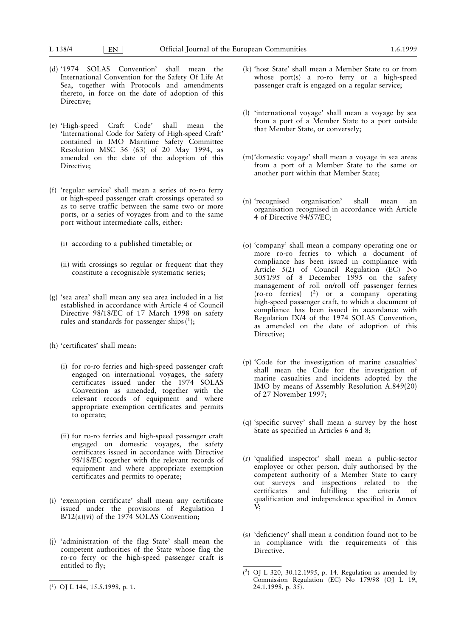$| EN$ 

- (d) '1974 SOLAS Convention' shall mean the International Convention for the Safety Of Life At Sea, together with Protocols and amendments thereto, in force on the date of adoption of this Directive;
- (e) 'High-speed Craft Code' shall mean the. 'International Code for Safety of High-speed Craft' contained in IMO Maritime Safety Committee Resolution MSC 36 (63) of 20 May 1994, as amended on the date of the adoption of this Directive;
- (f) 'regular service' shall mean a series of ro-ro ferry or high-speed passenger craft crossings operated so as to serve traffic between the same two or more ports, or a series of voyages from and to the same port without intermediate calls, either:
	- (i) according to a published timetable; or
	- (ii) with crossings so regular or frequent that they constitute a recognisable systematic series;
- (g) 'sea area' shall mean any sea area included in a list established in accordance with Article 4 of Council Directive 98/18/EC of 17 March 1998 on safety rules and standards for passenger ships  $(1)$ ;
- (h) 'certificates' shall mean:
	- (i) for ro-ro ferries and high-speed passenger craft engaged on international voyages, the safety certificates issued under the 1974 SOLAS Convention as amended, together with the relevant records of equipment and where appropriate exemption certificates and permits to operate;
	- (ii) for ro-ro ferries and high-speed passenger craft engaged on domestic voyages, the safety certificates issued in accordance with Directive 98/18/EC together with the relevant records of equipment and where appropriate exemption certificates and permits to operate;
- (i) 'exemption certificate' shall mean any certificate issued under the provisions of Regulation I  $B/12(a)(vi)$  of the 1974 SOLAS Convention;
- (i) 'administration of the flag State' shall mean the competent authorities of the State whose flag the ro-ro ferry or the high-speed passenger craft is entitled to fly;
- (k) 'host State' shall mean a Member State to or from whose port(s) a ro-ro ferry or a high-speed passenger craft is engaged on a regular service;
- (l) 'international voyage' shall mean a voyage by sea from a port of a Member State to a port outside that Member State, or conversely;
- (m) domestic voyage' shall mean a voyage in sea areas from a port of a Member State to the same or another port within that Member State;
- (n) 'recognised organisation' shall mean an organisation recognised in accordance with Article 4 of Directive 94/57/EC;
- (o) 'company' shall mean a company operating one or more ro-ro ferries to which a document of compliance has been issued in compliance with Article 5(2) of Council Regulation (EC) No 3051/95 of 8 December 1995 on the safety management of roll on/roll off passenger ferries (ro-ro ferries)  $(2)$  or a company operating high-speed passenger craft, to which a document of compliance has been issued in accordance with Regulation IX/4 of the 1974 SOLAS Convention, as amended on the date of adoption of this Directive:
- (p) 'Code for the investigation of marine casualties' shall mean the Code for the investigation of marine casualties and incidents adopted by the IMO by means of Assembly Resolution A.849(20) of 27 November 1997:
- (q) 'specific survey' shall mean a survey by the host State as specified in Articles 6 and 8;
- (r) 'qualified inspector' shall mean a public-sector employee or other person, duly authorised by the competent authority of a Member State to carry out surveys and inspections related to the certificates and fulfilling the criteria  $\alpha$ qualification and independence specified in Annex V;
- (s) 'deficiency' shall mean a condition found not to be in compliance with the requirements of this Directive.

 $(1)$  OJ L 144, 15.5.1998, p. 1.

 $(^{2})$  OJ L 320, 30.12.1995, p. 14. Regulation as amended by Commission Regulation (EC) No 179/98 (OJ L 19, 24.1.1998, p. 35).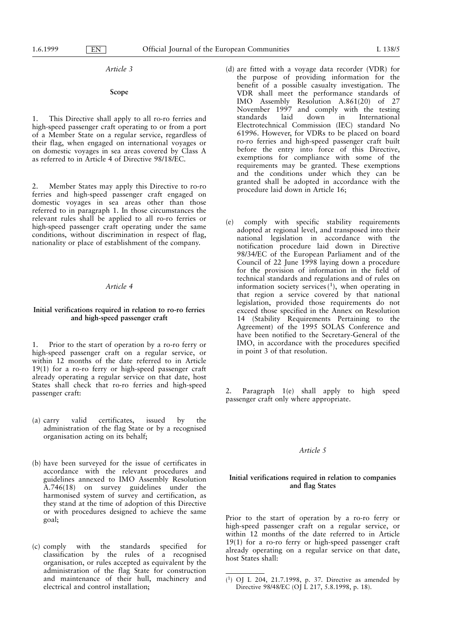Article 3

#### Scope

This Directive shall apply to all ro-ro ferries and  $\mathbf{1}$ high-speed passenger craft operating to or from a port of a Member State on a regular service, regardless of their flag, when engaged on international voyages or on domestic voyages in sea areas covered by Class A as referred to in Article 4 of Directive 98/18/EC.

Member States may apply this Directive to ro-ro  $2.$ ferries and high-speed passenger craft engaged on domestic voyages in sea areas other than those referred to in paragraph 1. In those circumstances the relevant rules shall be applied to all ro-ro ferries or high-speed passenger craft operating under the same conditions, without discrimination in respect of flag, nationality or place of establishment of the company.

# Article 4

# Initial verifications required in relation to ro-ro ferries and high-speed passenger craft

Prior to the start of operation by a ro-ro ferry or  $1.$ high-speed passenger craft on a regular service, or within 12 months of the date referred to in Article  $19(1)$  for a ro-ro ferry or high-speed passenger craft already operating a regular service on that date, host States shall check that ro-ro ferries and high-speed passenger craft:

- valid certificates, issued  $\mathbf{b} \mathbf{v}$ the  $(a)$  carry administration of the flag State or by a recognised organisation acting on its behalf;
- (b) have been surveyed for the issue of certificates in accordance with the relevant procedures and guidelines annexed to IMO Assembly Resolution A.746(18) on survey guidelines under the harmonised system of survey and certification, as they stand at the time of adoption of this Directive or with procedures designed to achieve the same goal:
- specified  $(c)$  comply with the standards for **f** classification by the rules of a recognised organisation, or rules accepted as equivalent by the administration of the flag State for construction and maintenance of their hull, machinery and electrical and control installation;
- (d) are fitted with a voyage data recorder (VDR) for the purpose of providing information for the benefit of a possible casualty investigation. The VDR shall meet the performance standards of IMO Assembly Resolution A.861(20) of 27<br>November 1997 and comply with the testing standards laid  $down$  $in$ International Electrotechnical Commission (IEC) standard No 61996. However, for VDRs to be placed on board ro-ro ferries and high-speed passenger craft built before the entry into force of this Directive, exemptions for compliance with some of the requirements may be granted. These exemptions and the conditions under which they can be granted shall be adopted in accordance with the procedure laid down in Article 16;
- comply with specific stability requirements  $(e)$ adopted at regional level, and transposed into their national legislation in accordance with the notification procedure laid down in Directive<br>98/34/EC of the European Parliament and of the Council of 22 June 1998 laying down a procedure for the provision of information in the field of technical standards and regulations and of rules on information society services  $(1)$ , when operating in that region a service covered by that national legislation, provided those requirements do not exceed those specified in the Annex on Resolution 14 (Stability Requirements Pertaining to the<br>Agreement) of the 1995 SOLAS Conference and have been notified to the Secretary-General of the IMO, in accordance with the procedures specified in point 3 of that resolution.

Paragraph 1(e) shall apply to high speed  $2.$ passenger craft only where appropriate.

# Article 5

# Initial verifications required in relation to companies and flag States

Prior to the start of operation by a ro-ro ferry or high-speed passenger craft on a regular service, or within 12 months of the date referred to in Article  $19(1)$  for a ro-ro ferry or high-speed passenger craft already operating on a regular service on that date, host States shall:

 $(1)$  OJ L 204, 21.7.1998, p. 37. Directive as amended by Directive 98/48/EC (OJ L 217, 5.8.1998, p. 18).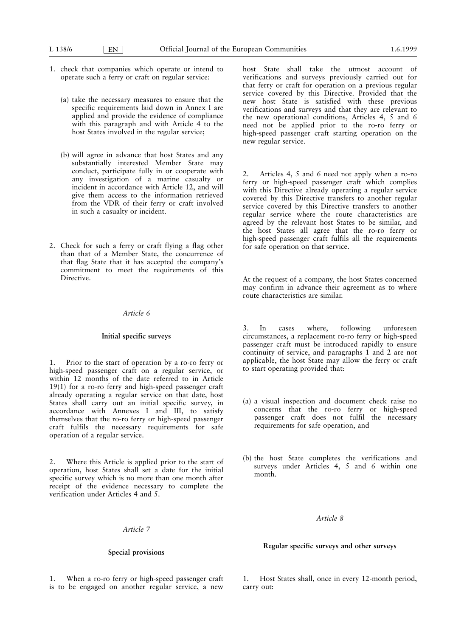1. check that companies which operate or intend to operate such a ferry or craft on regular service:

 $E$ N

- (a) take the necessary measures to ensure that the specific requirements laid down in Annex I are applied and provide the evidence of compliance with this paragraph and with Article 4 to the host States involved in the regular service;
- (b) will agree in advance that host States and any substantially interested Member State may conduct, participate fully in or cooperate with any investigation of a marine casualty or incident in accordance with Article 12, and will give them access to the information retrieved from the VDR of their ferry or craft involved in such a casualty or incident.
- 2. Check for such a ferry or craft flying a flag other than that of a Member State, the concurrence of that flag State that it has accepted the company's commitment to meet the requirements of this Directive.

## Article 6

#### Initial specific surveys

Prior to the start of operation by a ro-ro ferry or high-speed passenger craft on a regular service, or within 12 months of the date referred to in Article  $19(1)$  for a ro-ro ferry and high-speed passenger craft already operating a regular service on that date, host States shall carry out an initial specific survey, in accordance with Annexes I and III, to satisfy themselves that the ro-ro ferry or high-speed passenger craft fulfils the necessary requirements for safe operation of a regular service.

 $\mathcal{D}$ Where this Article is applied prior to the start of operation, host States shall set a date for the initial specific survey which is no more than one month after receipt of the evidence necessary to complete the verification under Articles 4 and 5.

# Article 7

# Special provisions

1. When a ro-ro ferry or high-speed passenger craft is to be engaged on another regular service, a new host State shall take the utmost account of verifications and surveys previously carried out for that ferry or craft for operation on a previous regular service covered by this Directive. Provided that the new host State is satisfied with these previous verifications and surveys and that they are relevant to the new operational conditions, Articles 4, 5 and 6 need not be applied prior to the ro-ro ferry or high-speed passenger craft starting operation on the new regular service.

Articles 4, 5 and 6 need not apply when a ro-ro  $\mathfrak{D}$ ferry or high-speed passenger craft which complies with this Directive already operating a regular service covered by this Directive transfers to another regular service covered by this Directive transfers to another regular service where the route characteristics are agreed by the relevant host States to be similar, and the host States all agree that the ro-ro ferry or high-speed passenger craft fulfils all the requirements for safe operation on that service.

At the request of a company, the host States concerned may confirm in advance their agreement as to where route characteristics are similar.

3.  $In$ cases where, following unforeseen circumstances, a replacement ro-ro ferry or high-speed passenger craft must be introduced rapidly to ensure continuity of service, and paragraphs  $\hat{1}$  and  $\hat{2}$  are not applicable, the host State may allow the ferry or craft to start operating provided that:

- (a) a visual inspection and document check raise no concerns that the ro-ro ferry or high-speed passenger craft does not fulfil the necessary requirements for safe operation, and
- (b) the host State completes the verifications and surveys under Articles 4, 5 and 6 within one month.

# Article 8

## Regular specific surveys and other surveys

1. Host States shall, once in every 12-month period, carry out: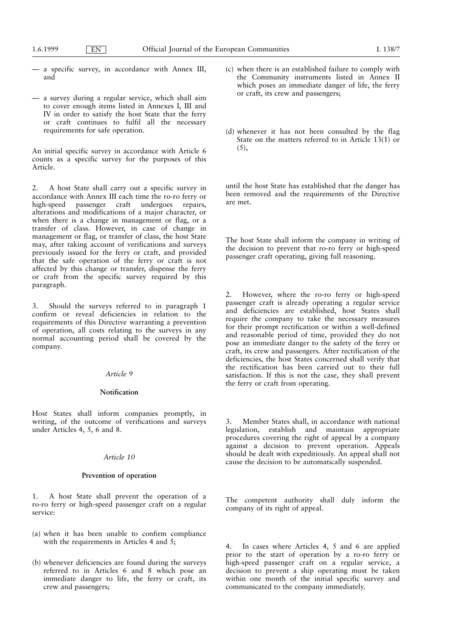- a specific survey, in accordance with Annex III, and
- a survey during a regular service, which shall aim to cover enough items listed in Annexes I, III and IV in order to satisfy the host State that the ferry or craft continues to fulfil all the necessary requirements for safe operation.

An initial specific survey in accordance with Article 6 counts as a specific survey for the purposes of this Article.

 $\overline{2}$ . A host State shall carry out a specific survey in accordance with Annex III each time the ro-ro ferry or passenger craft undergoes repairs, high-speed alterations and modifications of a major character, or when there is a change in management or flag, or a transfer of class. However, in case of change in management or flag, or transfer of class, the host State may, after taking account of verifications and surveys previously issued for the ferry or craft, and provided that the safe operation of the ferry or craft is not affected by this change or transfer, dispense the ferry or craft from the specific survey required by this paragraph.

 $3.$ Should the surveys referred to in paragraph 1 confirm or reveal deficiencies in relation to the requirements of this Directive warranting a prevention of operation, all costs relating to the surveys in any normal accounting period shall be covered by the company.

#### Article 9

## Notification

Host States shall inform companies promptly, in writing, of the outcome of verifications and surveys under Articles 4, 5, 6 and 8.

## Article 10

# Prevention of operation

1. A host State shall prevent the operation of a ro-ro ferry or high-speed passenger craft on a regular service:

- (a) when it has been unable to confirm compliance with the requirements in Articles 4 and 5;
- (b) whenever deficiencies are found during the surveys referred to in Articles 6 and 8 which pose an immediate danger to life, the ferry or craft, its crew and passengers;
- (c) when there is an established failure to comply with the Community instruments listed in Annex II which poses an immediate danger of life, the ferry or craft, its crew and passengers;
- (d) whenever it has not been consulted by the flag State on the matters referred to in Article 13(1) or  $(5),$

until the host State has established that the danger has been removed and the requirements of the Directive are met.

The host State shall inform the company in writing of the decision to prevent that ro-ro ferry or high-speed passenger craft operating, giving full reasoning.

However, where the ro-ro ferry or high-speed passenger craft is already operating a regular service and deficiencies are established, host States shall require the company to take the necessary measures for their prompt rectification or within a well-defined and reasonable period of time, provided they do not pose an immediate danger to the safety of the ferry or craft, its crew and passengers. After rectification of the deficiencies, the host States concerned shall verify that the rectification has been carried out to their full satisfaction. If this is not the case, they shall prevent the ferry or craft from operating.

Member States shall, in accordance with national legislation, establish and maintain appropriate procedures covering the right of appeal by a company against a decision to prevent operation. Appeals<br>should be dealt with expeditiously. An appeal shall not cause the decision to be automatically suspended.

The competent authority shall duly inform the company of its right of appeal.

In cases where Articles 4, 5 and 6 are applied prior to the start of operation by a ro-ro ferry or high-speed passenger craft on a regular service, a decision to prevent a ship operating must be taken within one month of the initial specific survey and communicated to the company immediately.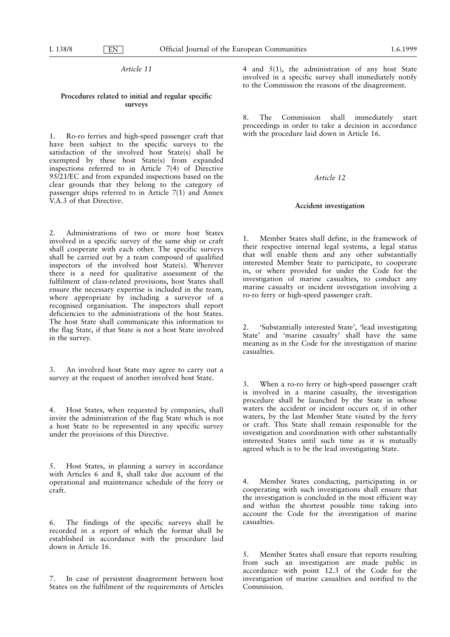$E<sub>N</sub>$ 

# Article 11

# Procedures related to initial and regular specific surveys

Ro-ro ferries and high-speed passenger craft that  $1.$ have been subject to the specific surveys to the satisfaction of the involved host State(s) shall be exempted by these host State(s) from expanded<br>inspections referred to in Article 7(4) of Directive 95/21/EC and from expanded inspections based on the clear grounds that they belong to the category of passenger ships referred to in Article  $7(1)$  and Annex V.A.3 of that Directive.

Administrations of two or more host States  $2^{\circ}$ involved in a specific survey of the same ship or craft shall cooperate with each other. The specific surveys shall be carried out by a team composed of qualified inspectors of the involved host State(s). Wherever there is a need for qualitative assessment of the fulfilment of class-related provisions, host States shall ensure the necessary expertise is included in the team, where appropriate by including a surveyor of a recognised organisation. The inspectors shall report deficiencies to the administrations of the host States. The host State shall communicate this information to the flag State, if that State is not a host State involved in the survey.

 $3.$ An involved host State may agree to carry out a survey at the request of another involved host State.

 $\overline{4}$ . Host States, when requested by companies, shall invite the administration of the flag State which is not a host State to be represented in any specific survey under the provisions of this Directive.

Host States, in planning a survey in accordance 5. with Articles 6 and 8, shall take due account of the operational and maintenance schedule of the ferry or craft.

The findings of the specific surveys shall be 6. recorded in a report of which the format shall be established in accordance with the procedure laid down in Article 16.

7. In case of persistent disagreement between host States on the fulfilment of the requirements of Articles 4 and  $5(1)$ , the administration of any host State involved in a specific survey shall immediately notify to the Commission the reasons of the disagreement.

 $\mathbf{R}$ The Commission shall immediately start proceedings in order to take a decision in accordance with the procedure laid down in Article 16.

# Article 12

#### Accident investigation

Member States shall define, in the framework of  $1_{-}$ their respective internal legal systems, a legal status that will enable them and any other substantially interested Member State to participate, to cooperate in, or where provided for under the Code for the investigation of marine casualties, to conduct any marine casualty or incident investigation involving a ro-ro ferry or high-speed passenger craft.

2. 'Substantially interested State', 'lead investigating State' and 'marine casualty' shall have the same meaning as in the Code for the investigation of marine casualties

When a ro-ro ferry or high-speed passenger craft is involved in a marine casualty, the investigation procedure shall be launched by the State in whose waters the accident or incident occurs or, if in other waters, by the last Member State visited by the ferry or craft. This State shall remain responsible for the investigation and coordination with other substantially interested States until such time as it is mutually agreed which is to be the lead investigating State.

Member States conducting, participating in or 4. cooperating with such investigations shall ensure that the investigation is concluded in the most efficient way and within the shortest possible time taking into account the Code for the investigation of marine casualties

5. Member States shall ensure that reports resulting from such an investigation are made public in accordance with point 12.3 of the Code for the investigation of marine casualties and notified to the Commission.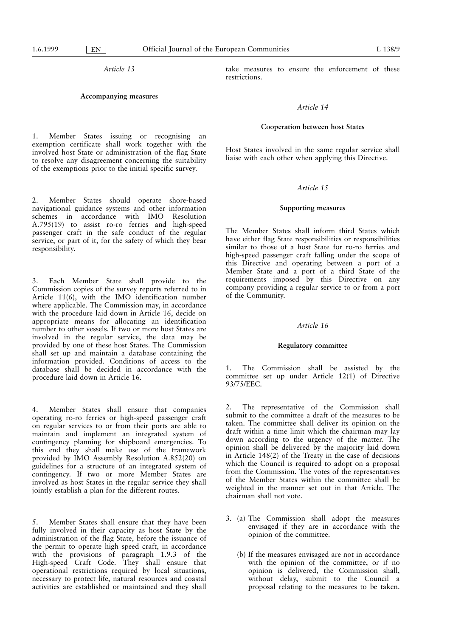Article 13

## Accompanying measures

 $1.$ Member States issuing or recognising an exemption certificate shall work together with the involved host State or administration of the flag State to resolve any disagreement concerning the suitability of the exemptions prior to the initial specific survey.

 $2.$ Member States should operate shore-based navigational guidance systems and other information schemes in accordance with IMO Resolution<br>A.795(19) to assist ro-ro ferries and high-speed passenger craft in the safe conduct of the regular service, or part of it, for the safety of which they bear responsibility.

 $\overline{3}$ . Each Member State shall provide to the Commission copies of the survey reports referred to in Article 11(6), with the IMO identification number where applicable. The Commission may, in accordance with the procedure laid down in Article 16, decide on appropriate means for allocating an identification number to other vessels. If two or more host States are involved in the regular service, the data may be provided by one of these host States. The Commission shall set up and maintain a database containing the information provided. Conditions of access to the database shall be decided in accordance with the procedure laid down in Article 16.

 $\overline{4}$ Member States shall ensure that companies operating ro-ro ferries or high-speed passenger craft on regular services to or from their ports are able to maintain and implement an integrated system of contingency planning for shipboard emergencies. To this end they shall make use of the framework provided by IMO Assembly Resolution A.852(20) on guidelines for a structure of an integrated system of contingency. If two or more Member States are involved as host States in the regular service they shall jointly establish a plan for the different routes.

Member States shall ensure that they have been  $\mathcal{F}$ fully involved in their capacity as host State by the administration of the flag State, before the issuance of the permit to operate high speed craft, in accordance with the provisions of paragraph 1.9.3 of the High-speed Craft Code. They shall ensure that operational restrictions required by local situations, necessary to protect life, natural resources and coastal activities are established or maintained and they shall

take measures to ensure the enforcement of these restrictions.

# Article 14

## Cooperation between host States

Host States involved in the same regular service shall liaise with each other when applying this Directive.

# Article 15

# **Supporting measures**

The Member States shall inform third States which have either flag State responsibilities or responsibilities similar to those of a host State for ro-ro ferries and high-speed passenger craft falling under the scope of this Directive and operating between a port of a<br>Member State and a port of a third State of the<br>requirements imposed by this Directive on any company providing a regular service to or from a port of the Community.

# Article 16

## **Regulatory committee**

The Commission shall be assisted by the  $1$ committee set up under Article 12(1) of Directive 93/75/EEC.

The representative of the Commission shall submit to the committee a draft of the measures to be taken. The committee shall deliver its opinion on the draft within a time limit which the chairman may lay down according to the urgency of the matter. The opinion shall be delivered by the majority laid down in Article 148(2) of the Treaty in the case of decisions which the Council is required to adopt on a proposal from the Commission. The votes of the representatives of the Member States within the committee shall be weighted in the manner set out in that Article. The chairman shall not vote.

- 3. (a) The Commission shall adopt the measures envisaged if they are in accordance with the opinion of the committee.
	- (b) If the measures envisaged are not in accordance with the opinion of the committee, or if no opinion is delivered, the Commission shall, without delay, submit to the Council a proposal relating to the measures to be taken.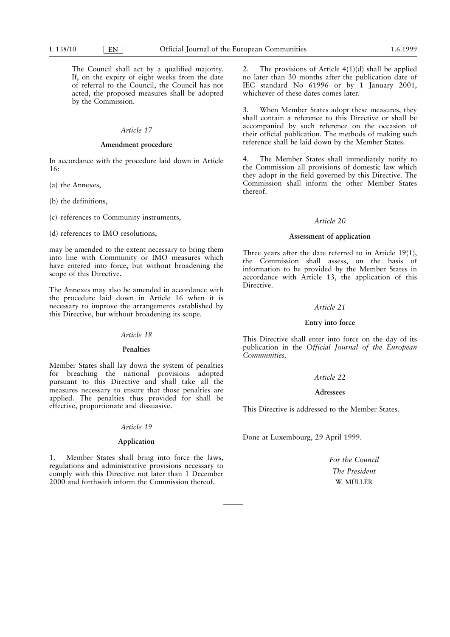The Council shall act by a qualified majority. If, on the expiry of eight weeks from the date of referral to the Council, the Council has not acted, the proposed measures shall be adopted by the Commission.

# Article 17

# Amendment procedure

In accordance with the procedure laid down in Article  $16.$ 

- (a) the Annexes,
- (b) the definitions,
- (c) references to Community instruments,
- (d) references to IMO resolutions,

may be amended to the extent necessary to bring them into line with Community or IMO measures which have entered into force, but without broadening the scope of this Directive.

The Annexes may also be amended in accordance with the procedure laid down in Article 16 when it is necessary to improve the arrangements established by this Directive, but without broadening its scope.

# Article 18

#### Penalties

Member States shall lay down the system of penalties for breaching the national provisions adopted pursuant to this Directive and shall take all the measures necessary to ensure that those penalties are applied. The penalties thus provided for shall be effective, proportionate and dissuasive.

# Article 19

# Application

 $1.$ Member States shall bring into force the laws, regulations and administrative provisions necessary to comply with this Directive not later than 1 December 2000 and forthwith inform the Commission thereof.

The provisions of Article  $4(1)(d)$  shall be applied  $\mathfrak{D}$ no later than 30 months after the publication date of IEC standard No 61996 or by 1 January 2001, whichever of these dates comes later.

When Member States adopt these measures, they shall contain a reference to this Directive or shall be accompanied by such reference on the occasion of their official publication. The methods of making such reference shall be laid down by the Member States.

The Member States shall immediately notify to 4. the Commission all provisions of domestic law which they adopt in the field governed by this Directive. The Commission shall inform the other Member States thereof.

# Article 20

# Assessment of application

Three years after the date referred to in Article  $19(1)$ , the Commission shall assess, on the basis of information to be provided by the Member States in accordance with Article 13, the application of this Directive.

#### Article 21

# Entry into force

This Directive shall enter into force on the day of its publication in the Official Journal of the European Communities

# Article 22

# Adressees

This Directive is addressed to the Member States.

Done at Luxembourg, 29 April 1999.

For the Council The President W. MÜLLER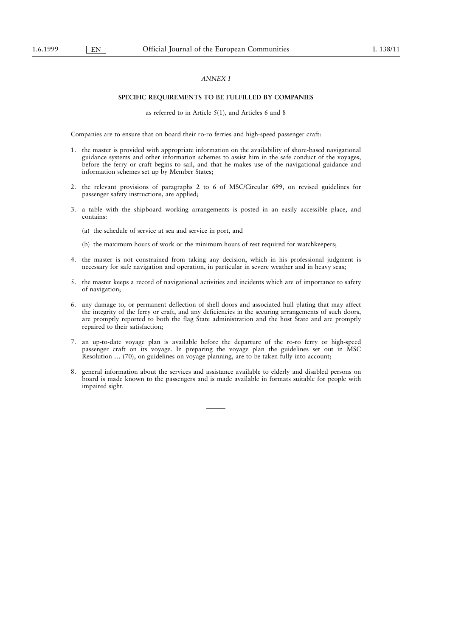# **ANNEX I**

# SPECIFIC REQUIREMENTS TO BE FULFILLED BY COMPANIES

as referred to in Article 5(1), and Articles 6 and 8

Companies are to ensure that on board their ro-ro ferries and high-speed passenger craft:

- 1. the master is provided with appropriate information on the availability of shore-based navigational guidance systems and other information schemes to assist him in the safe conduct of the voyages, before the ferry or craft begins to sail, and that he makes use of the navigational guidance and information schemes set up by Member States;
- 2. the relevant provisions of paragraphs 2 to 6 of MSC/Circular 699, on revised guidelines for passenger safety instructions, are applied;
- 3. a table with the shipboard working arrangements is posted in an easily accessible place, and contains:
	- (a) the schedule of service at sea and service in port, and
	- (b) the maximum hours of work or the minimum hours of rest required for watchkeepers;
- 4. the master is not constrained from taking any decision, which in his professional judgment is necessary for safe navigation and operation, in particular in severe weather and in heavy seas;
- 5. the master keeps a record of navigational activities and incidents which are of importance to safety of navigation;
- 6. any damage to, or permanent deflection of shell doors and associated hull plating that may affect the integrity of the ferry or craft, and any deficiencies in the securing arrangements of such doors, are promptly reported to both the flag State administration and the host State and are promptly repaired to their satisfaction;
- 7. an up-to-date voyage plan is available before the departure of the ro-ro ferry or high-speed passenger craft on its voyage. In preparing the voyage plan the guidelines set out in MSC Resolution ... (70), on guidelines on voyage planning, are to be taken fully into account;
- general information about the services and assistance available to elderly and disabled persons on  $\mathbf{R}$ board is made known to the passengers and is made available in formats suitable for people with impaired sight.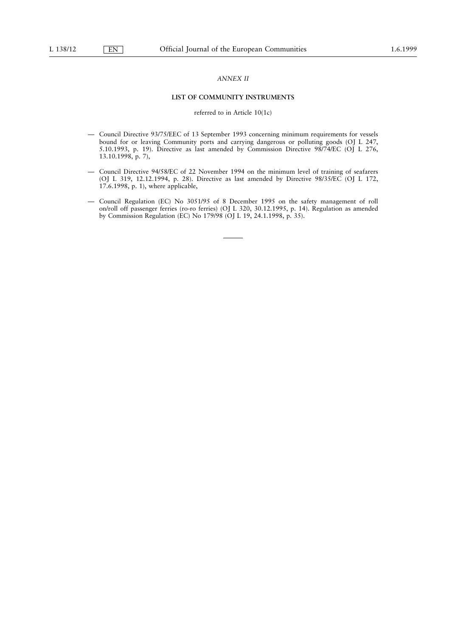# **ANNEX II**

## LIST OF COMMUNITY INSTRUMENTS

# referred to in Article 10(1c)

- Council Directive 93/75/EEC of 13 September 1993 concerning minimum requirements for vessels bound for or leaving Community ports and carrying dangerous or polluting goods (OJ L 247, 5.10.1993, p. 19). Directive as last amended by Commission Directive 98/74/EC (OJ L 276, 13.10.1998, p. 7),
- Council Directive 94/58/EC of 22 November 1994 on the minimum level of training of seafarers (OJ L 319, 12.12.1994, p. 28). Directive as last amended by Directive 98/35/EC (OJ L 172, 17.6.1998, p. 1), where applicable,
- Council Regulation (EC) No 3051/95 of 8 December 1995 on the safety management of roll on/roll off passenger ferries (ro-ro ferries) (OJ L 320, 30.12.1995, p. 14). Regulation as amended by Commission Regulation (EC) No 179/98 (OJ L 19, 24.1.1998, p. 35).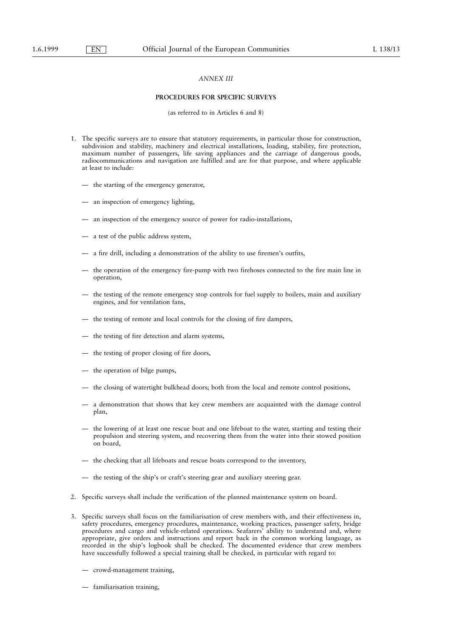# **ANNEX III**

## PROCEDURES FOR SPECIFIC SURVEYS

(as referred to in Articles 6 and 8)

- 1. The specific surveys are to ensure that statutory requirements, in particular those for construction, subdivision and stability, machinery and electrical installations, loading, stability, fire protection, maximum number of passengers, life saving appliances and the carriage of dangerous goods, radiocommunications and navigation are fulfilled and are for that purpose, and where applicable at least to include:
	- the starting of the emergency generator,
	- an inspection of emergency lighting,
	- an inspection of the emergency source of power for radio-installations,
	- a test of the public address system,
	- a fire drill, including a demonstration of the ability to use firemen's outfits,
	- the operation of the emergency fire-pump with two firehoses connected to the fire main line in operation,
	- the testing of the remote emergency stop controls for fuel supply to boilers, main and auxiliary engines, and for ventilation fans,
	- the testing of remote and local controls for the closing of fire dampers,
	- the testing of fire detection and alarm systems,
	- the testing of proper closing of fire doors,
	- the operation of bilge pumps,
	- the closing of watertight bulkhead doors; both from the local and remote control positions,
	- a demonstration that shows that key crew members are acquainted with the damage control plan,
	- the lowering of at least one rescue boat and one lifeboat to the water, starting and testing their propulsion and steering system, and recovering them from the water into their stowed position on board,
	- the checking that all lifeboats and rescue boats correspond to the inventory,
	- the testing of the ship's or craft's steering gear and auxiliary steering gear.
- 2. Specific surveys shall include the verification of the planned maintenance system on board.
- 3. Specific surveys shall focus on the familiarisation of crew members with, and their effectiveness in, safety procedures, emergency procedures, maintenance, working practices, passenger safety, bridge procedures and cargo and vehicle-related operations. Seafarers' ability to understand and, where appropriate, give orders and instructions and report back in the common working language, as recorded in the ship's logbook shall be checked. The documented evidence that crew members have successfully followed a special training shall be checked, in particular with regard to:
	- crowd-management training,
	- familiarisation training,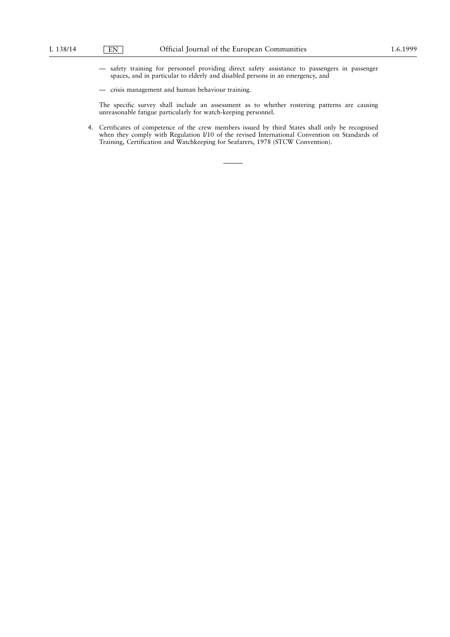- safety training for personnel providing direct safety assistance to passengers in passenger spaces, and in particular to elderly and disabled persons in an emergency, and
- crisis management and human behaviour training.

The specific survey shall include an assessment as to whether rostering patterns are causing unreasonable fatigue particularly for watch-keeping personnel.

4. Certificates of competence of the crew members issued by third States shall only be recognised when they comply with Regulation I/10 of the revised International Convention on Standards of Training, Certification and Watchkeeping for Seafarers, 1978 (STCW Convention).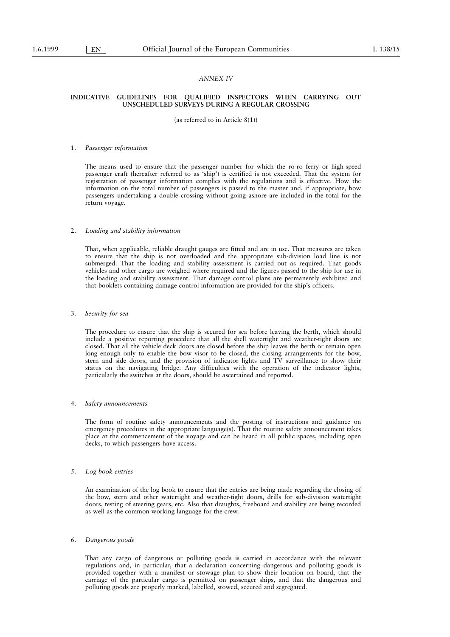# **ANNEX IV**

## INDICATIVE GUIDELINES FOR QUALIFIED INSPECTORS WHEN CARRYING OUT UNSCHEDULED SURVEYS DURING A REGULAR CROSSING

(as referred to in Article  $8(1)$ )

#### 1. Passenger information

The means used to ensure that the passenger number for which the ro-ro ferry or high-speed passenger craft (hereafter referred to as 'ship') is certified is not exceeded. That the system for registration of passenger information complies with the regulations and is effective. How the information on the total number of passengers is passed to the master and, if appropriate, how passengers undertaking a double crossing without going ashore are included in the total for the return voyage.

#### $\mathcal{L}$ Loading and stability information

That, when applicable, reliable draught gauges are fitted and are in use. That measures are taken to ensure that the ship is not overloaded and the appropriate sub-division load line is not submerged. That the loading and stability assessment is carried out as required. That goods vehicles and other cargo are weighed where required and the figures passed to the ship for use in the loading and stability assessment. That damage control plans are permanently exhibited and that booklets containing damage control information are provided for the ship's officers.

#### 3. Security for sea

The procedure to ensure that the ship is secured for sea before leaving the berth, which should include a positive reporting procedure that all the shell watertight and weather-tight doors are closed. That all the vehicle deck doors are closed before the ship leaves the berth or remain open long enough only to enable the bow visor to be closed, the closing arrangements for the bow, stern and side doors, and the provision of indicator lights and TV surveillance to show their status on the navigating bridge. Any difficulties with the operation of the indicator lights, particularly the switches at the doors, should be ascertained and reported.

#### $\overline{4}$ Safety announcements

The form of routine safety announcements and the posting of instructions and guidance on emergency procedures in the appropriate language(s). That the routine safety announcement takes place at the commencement of the voyage and can be heard in all public spaces, including open decks, to which passengers have access.

#### $5<sub>1</sub>$ Log book entries

An examination of the log book to ensure that the entries are being made regarding the closing of the bow, stern and other watertight and weather-tight doors, drills for sub-division watertight doors, testing of steering gears, etc. Also that draughts, freeboard and stability are being recorded as well as the common working language for the crew.

#### Dangerous goods  $\epsilon$

That any cargo of dangerous or polluting goods is carried in accordance with the relevant regulations and, in particular, that a declaration concerning dangerous and polluting goods is provided together with a manifest or stowage plan to show their location on board, that the carriage of the particular cargo is permitted on passenger ships, and that the dangerous and polluting goods are properly marked, labelled, stowed, secured and segregated.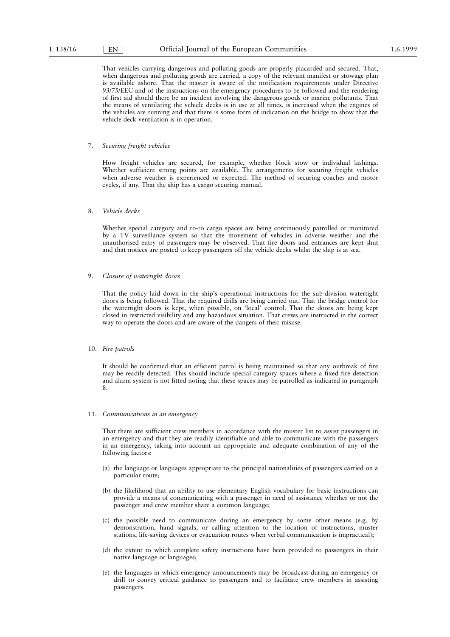That vehicles carrying dangerous and polluting goods are properly placarded and secured. That, when dangerous and polluting goods are carried, a copy of the relevant manifest or stowage plan is available ashore. That the master is aware of the notification requirements under Directive 93/75/EEC and of the instructions on the emergency procedures to be followed and the rendering of first aid should there be an incident involving the dangerous goods or marine pollutants. That the means of ventilating the vehicle decks is in use at all times, is increased when the engines of the vehicles are running and that there is some form of indication on the bridge to show that the vehicle deck ventilation is in operation.

#### 7. Securing freight vehicles

How freight vehicles are secured, for example, whether block stow or individual lashings. Whether sufficient strong points are available. The arrangements for securing freight vehicles when adverse weather is experienced or expected. The method of securing coaches and motor cycles, if any. That the ship has a cargo securing manual.

#### Vehicle decks  $\mathbf{R}$

 $E$ N

Whether special category and ro-ro cargo spaces are being continuously patrolled or monitored by a TV surveillance system so that the movement of vehicles in adverse weather and the unauthorised entry of passengers may be observed. That fire doors and entrances are kept shut and that notices are posted to keep passengers off the vehicle decks whilst the ship is at sea.

#### $\overline{9}$ Closure of watertight doors

That the policy laid down in the ship's operational instructions for the sub-division watertight doors is being followed. That the required drills are being carried out. That the bridge control for the watertight doors is kept, when possible, on 'local' control. That the doors are being kept closed in restricted visibility and any hazardous situation. That crews are instructed in the correct way to operate the doors and are aware of the dangers of their misuse.

#### 10. Fire patrols

It should be confirmed that an efficient patrol is being maintained so that any outbreak of fire may be readily detected. This should include special category spaces where a fixed fire detection and alarm system is not fitted noting that these spaces may be patrolled as indicated in paragraph 8.

## 11. Communications in an emergency

That there are sufficient crew members in accordance with the muster list to assist passengers in an emergency and that they are readily identifiable and able to communicate with the passengers in an emergency, taking into account an appropriate and adequate combination of any of the following factors:

- (a) the language or languages appropriate to the principal nationalities of passengers carried on a particular route;
- (b) the likelihood that an ability to use elementary English vocabulary for basic instructions can provide a means of communicating with a passenger in need of assistance whether or not the passenger and crew member share a common language;
- (c) the possible need to communicate during an emergency by some other means (e.g. by demonstration, hand signals, or calling attention to the location of instructions, muster stations, life-saving devices or evacuation routes when verbal communication is impractical);
- (d) the extent to which complete safety instructions have been provided to passengers in their native language or languages;
- (e) the languages in which emergency announcements may be broadcast during an emergency or drill to convey critical guidance to passengers and to facilitate crew members in assisting passengers.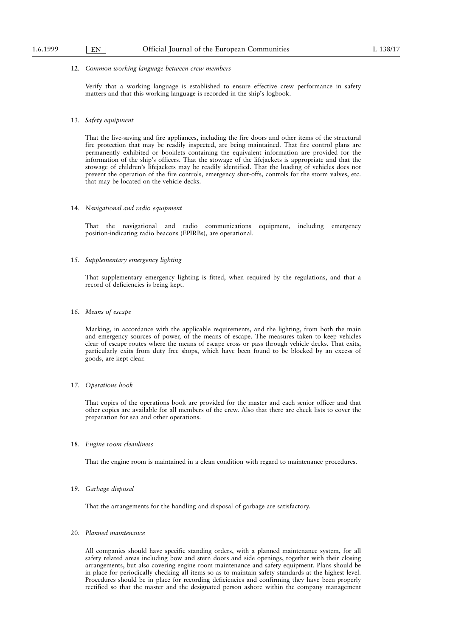#### 12. Common working language between crew members

Verify that a working language is established to ensure effective crew performance in safety matters and that this working language is recorded in the ship's logbook.

#### 13. Safety equipment

That the live-saving and fire appliances, including the fire doors and other items of the structural fire protection that may be readily inspected, are being maintained. That fire control plans are permanently exhibited or booklets containing the equivalent information are provided for the information of the ship's officers. That the stowage of the lifejackets is appropriate and that the stowage of children's lifejackets may be readily identified. That the loading of vehicles does not prevent the operation of the fire controls, emergency shut-offs, controls for the storm valves, etc. that may be located on the vehicle decks.

#### 14. Navigational and radio equipment

That the navigational and radio communications equipment, including emergency position-indicating radio beacons (EPIRBs), are operational.

# 15. Supplementary emergency lighting

That supplementary emergency lighting is fitted, when required by the regulations, and that a record of deficiencies is being kept.

# 16. Means of escape

Marking, in accordance with the applicable requirements, and the lighting, from both the main and emergency sources of power, of the means of escape. The measures taken to keep vehicles clear of escape routes where the means of escape cross or pass through vehicle decks. That exits, particularly exits from duty free shops, which have been found to be blocked by an excess of goods, are kept clear.

## 17. Operations book

That copies of the operations book are provided for the master and each senior officer and that other copies are available for all members of the crew. Also that there are check lists to cover the preparation for sea and other operations.

## 18. Engine room cleanliness

That the engine room is maintained in a clean condition with regard to maintenance procedures.

#### 19. Garbage disposal

That the arrangements for the handling and disposal of garbage are satisfactory.

# 20. Planned maintenance

All companies should have specific standing orders, with a planned maintenance system, for all safety related areas including bow and stern doors and side openings, together with their closing arrangements, but also covering engine room maintenance and safety equipment. Plans should be in place for periodically checking all items so as to maintain safety standards at the highest level. Procedures should be in place for recording deficiencies and confirming they have been properly rectified so that the master and the designated person ashore within the company management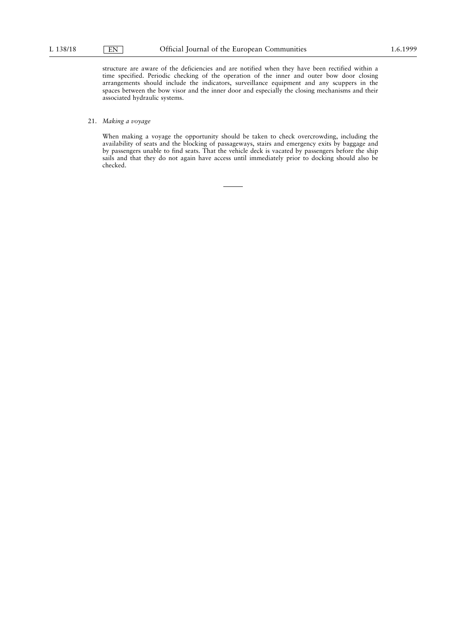structure are aware of the deficiencies and are notified when they have been rectified within a time specified. Periodic checking of the operation of the inner and outer bow door closing arrangements should include the indicators, surveillance equipment and any scuppers in the spaces between the bow visor and the inner door and especially the closing mechanisms and their associated hydraulic systems.

# 21. Making a voyage

When making a voyage the opportunity should be taken to check overcrowding, including the availability of seats and the blocking of passageways, stairs and emergency exits by baggage and by passengers unable to find seats. That the vehicle deck is vacated by passengers before the ship sails and that they do not again have access until immediately prior to docking should also be checked.